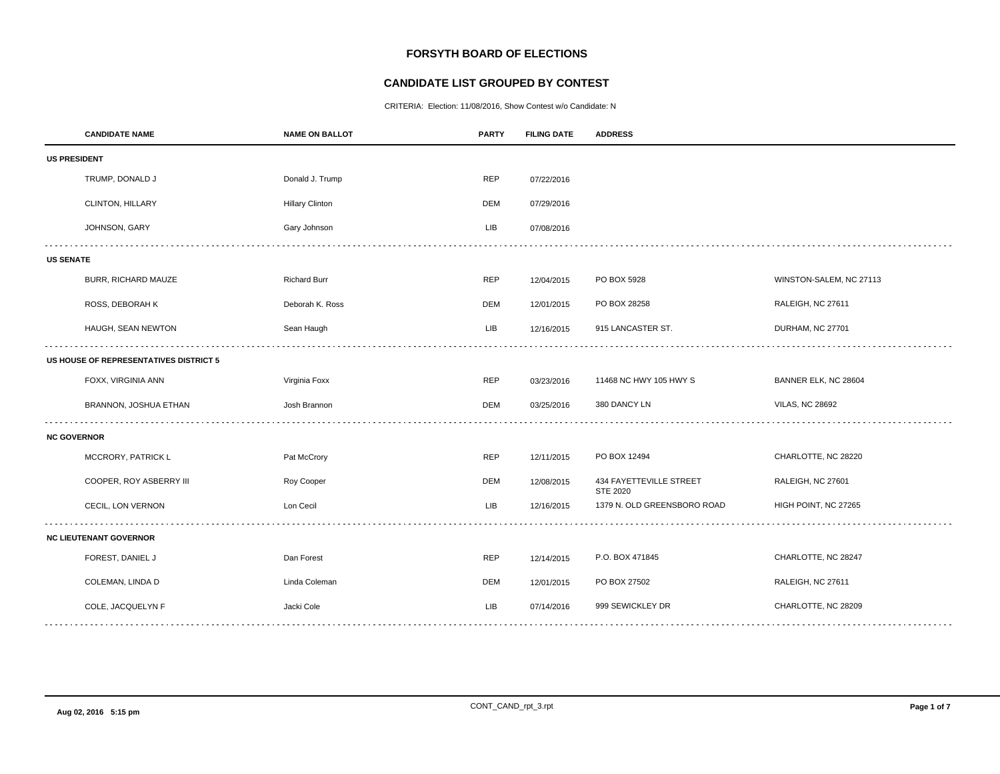# **FORSYTH BOARD OF ELECTIONS**

## **CANDIDATE LIST GROUPED BY CONTEST**

CRITERIA: Election: 11/08/2016, Show Contest w/o Candidate: N

|                                        | <b>CANDIDATE NAME</b>         | <b>NAME ON BALLOT</b>  | <b>PARTY</b> | <b>FILING DATE</b> | <b>ADDRESS</b>                      |                         |  |  |
|----------------------------------------|-------------------------------|------------------------|--------------|--------------------|-------------------------------------|-------------------------|--|--|
|                                        | <b>US PRESIDENT</b>           |                        |              |                    |                                     |                         |  |  |
|                                        | TRUMP, DONALD J               | Donald J. Trump        | <b>REP</b>   | 07/22/2016         |                                     |                         |  |  |
|                                        | <b>CLINTON, HILLARY</b>       | <b>Hillary Clinton</b> | DEM          | 07/29/2016         |                                     |                         |  |  |
|                                        | JOHNSON, GARY                 | Gary Johnson           | <b>LIB</b>   | 07/08/2016         |                                     |                         |  |  |
| <b>US SENATE</b>                       |                               |                        |              |                    |                                     |                         |  |  |
|                                        | BURR, RICHARD MAUZE           | <b>Richard Burr</b>    | <b>REP</b>   | 12/04/2015         | PO BOX 5928                         | WINSTON-SALEM, NC 27113 |  |  |
|                                        | ROSS, DEBORAH K               | Deborah K. Ross        | DEM          | 12/01/2015         | PO BOX 28258                        | RALEIGH, NC 27611       |  |  |
|                                        | HAUGH, SEAN NEWTON            | Sean Haugh             | LIB          | 12/16/2015         | 915 LANCASTER ST.                   | DURHAM, NC 27701        |  |  |
| US HOUSE OF REPRESENTATIVES DISTRICT 5 |                               |                        |              |                    |                                     |                         |  |  |
|                                        | FOXX, VIRGINIA ANN            | Virginia Foxx          | <b>REP</b>   | 03/23/2016         | 11468 NC HWY 105 HWY S              | BANNER ELK, NC 28604    |  |  |
|                                        | BRANNON, JOSHUA ETHAN         | Josh Brannon           | DEM          | 03/25/2016         | 380 DANCY LN                        | <b>VILAS, NC 28692</b>  |  |  |
| <b>NC GOVERNOR</b>                     |                               |                        |              |                    |                                     |                         |  |  |
|                                        | MCCRORY, PATRICK L            | Pat McCrory            | <b>REP</b>   | 12/11/2015         | PO BOX 12494                        | CHARLOTTE, NC 28220     |  |  |
|                                        | COOPER, ROY ASBERRY III       | Roy Cooper             | <b>DEM</b>   | 12/08/2015         | 434 FAYETTEVILLE STREET<br>STE 2020 | RALEIGH, NC 27601       |  |  |
|                                        | CECIL, LON VERNON             | Lon Cecil              | <b>LIB</b>   | 12/16/2015         | 1379 N. OLD GREENSBORO ROAD         | HIGH POINT, NC 27265    |  |  |
|                                        | <b>NC LIEUTENANT GOVERNOR</b> |                        |              |                    |                                     |                         |  |  |
|                                        | FOREST, DANIEL J              | Dan Forest             | <b>REP</b>   | 12/14/2015         | P.O. BOX 471845                     | CHARLOTTE, NC 28247     |  |  |
|                                        | COLEMAN, LINDA D              | Linda Coleman          | <b>DEM</b>   | 12/01/2015         | PO BOX 27502                        | RALEIGH, NC 27611       |  |  |
|                                        | COLE, JACQUELYN F             | Jacki Cole             | LIB          | 07/14/2016         | 999 SEWICKLEY DR                    | CHARLOTTE, NC 28209     |  |  |
|                                        |                               |                        |              |                    |                                     |                         |  |  |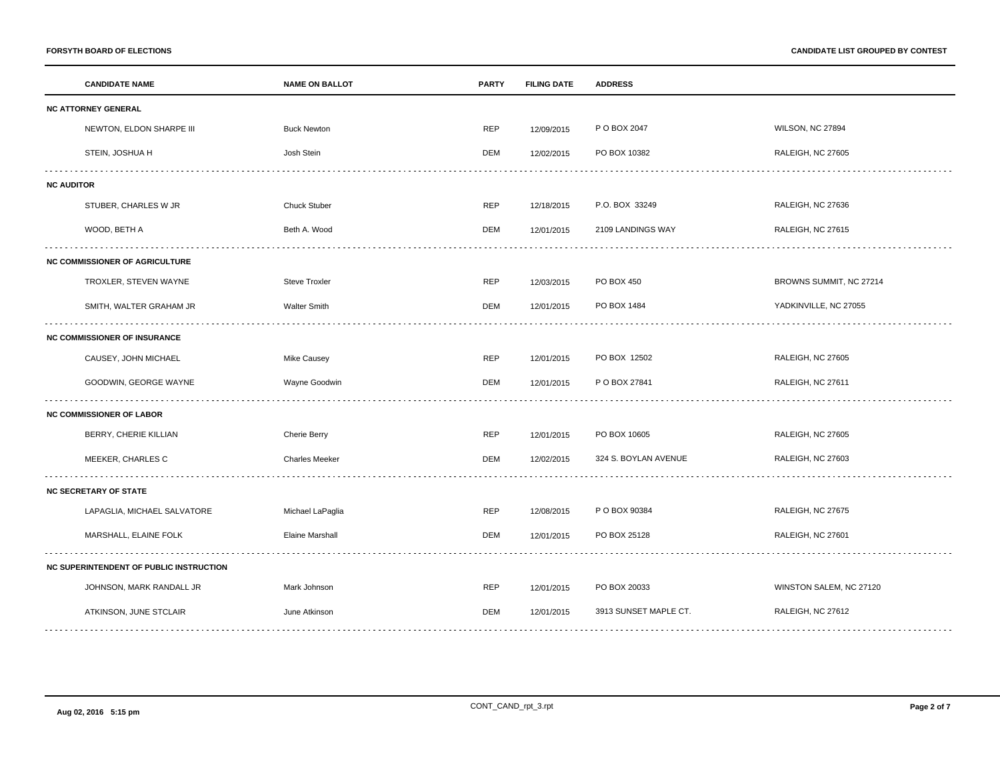|                                     | <b>CANDIDATE NAME</b>                   | <b>NAME ON BALLOT</b>  | <b>PARTY</b> | <b>FILING DATE</b> | <b>ADDRESS</b>        |                         |  |  |
|-------------------------------------|-----------------------------------------|------------------------|--------------|--------------------|-----------------------|-------------------------|--|--|
|                                     | <b>NC ATTORNEY GENERAL</b>              |                        |              |                    |                       |                         |  |  |
|                                     | NEWTON, ELDON SHARPE III                | <b>Buck Newton</b>     | <b>REP</b>   | 12/09/2015         | P O BOX 2047          | WILSON, NC 27894        |  |  |
|                                     | STEIN, JOSHUA H                         | Josh Stein             | <b>DEM</b>   | 12/02/2015         | PO BOX 10382          | RALEIGH, NC 27605       |  |  |
| <b>NC AUDITOR</b>                   |                                         |                        |              |                    |                       |                         |  |  |
|                                     | STUBER, CHARLES W JR                    | <b>Chuck Stuber</b>    | <b>REP</b>   | 12/18/2015         | P.O. BOX 33249        | RALEIGH, NC 27636       |  |  |
|                                     | WOOD, BETH A                            | Beth A. Wood           | DEM          | 12/01/2015         | 2109 LANDINGS WAY     | RALEIGH, NC 27615       |  |  |
|                                     | <b>NC COMMISSIONER OF AGRICULTURE</b>   |                        |              |                    |                       |                         |  |  |
|                                     | TROXLER, STEVEN WAYNE                   | <b>Steve Troxler</b>   | <b>REP</b>   | 12/03/2015         | PO BOX 450            | BROWNS SUMMIT, NC 27214 |  |  |
|                                     | SMITH, WALTER GRAHAM JR                 | <b>Walter Smith</b>    | DEM          | 12/01/2015         | PO BOX 1484           | YADKINVILLE, NC 27055   |  |  |
| <b>NC COMMISSIONER OF INSURANCE</b> |                                         |                        |              |                    |                       |                         |  |  |
|                                     | CAUSEY, JOHN MICHAEL                    | Mike Causey            | REP          | 12/01/2015         | PO BOX 12502          | RALEIGH, NC 27605       |  |  |
|                                     | GOODWIN, GEORGE WAYNE                   | Wayne Goodwin          | DEM          | 12/01/2015         | P O BOX 27841         | RALEIGH, NC 27611       |  |  |
|                                     | <b>NC COMMISSIONER OF LABOR</b>         |                        |              |                    |                       |                         |  |  |
|                                     | BERRY, CHERIE KILLIAN                   | <b>Cherie Berry</b>    | REP          | 12/01/2015         | PO BOX 10605          | RALEIGH, NC 27605       |  |  |
|                                     | MEEKER, CHARLES C                       | <b>Charles Meeker</b>  | <b>DEM</b>   | 12/02/2015         | 324 S. BOYLAN AVENUE  | RALEIGH, NC 27603       |  |  |
|                                     | <b>NC SECRETARY OF STATE</b>            |                        |              |                    |                       |                         |  |  |
|                                     | LAPAGLIA, MICHAEL SALVATORE             | Michael LaPaglia       | <b>REP</b>   | 12/08/2015         | P O BOX 90384         | RALEIGH, NC 27675       |  |  |
|                                     | MARSHALL, ELAINE FOLK                   | <b>Elaine Marshall</b> | <b>DEM</b>   | 12/01/2015         | PO BOX 25128          | RALEIGH, NC 27601       |  |  |
|                                     | NC SUPERINTENDENT OF PUBLIC INSTRUCTION |                        |              |                    |                       |                         |  |  |
|                                     | JOHNSON, MARK RANDALL JR                | Mark Johnson           | <b>REP</b>   | 12/01/2015         | PO BOX 20033          | WINSTON SALEM, NC 27120 |  |  |
|                                     | ATKINSON, JUNE STCLAIR                  | June Atkinson          | DEM          | 12/01/2015         | 3913 SUNSET MAPLE CT. | RALEIGH, NC 27612       |  |  |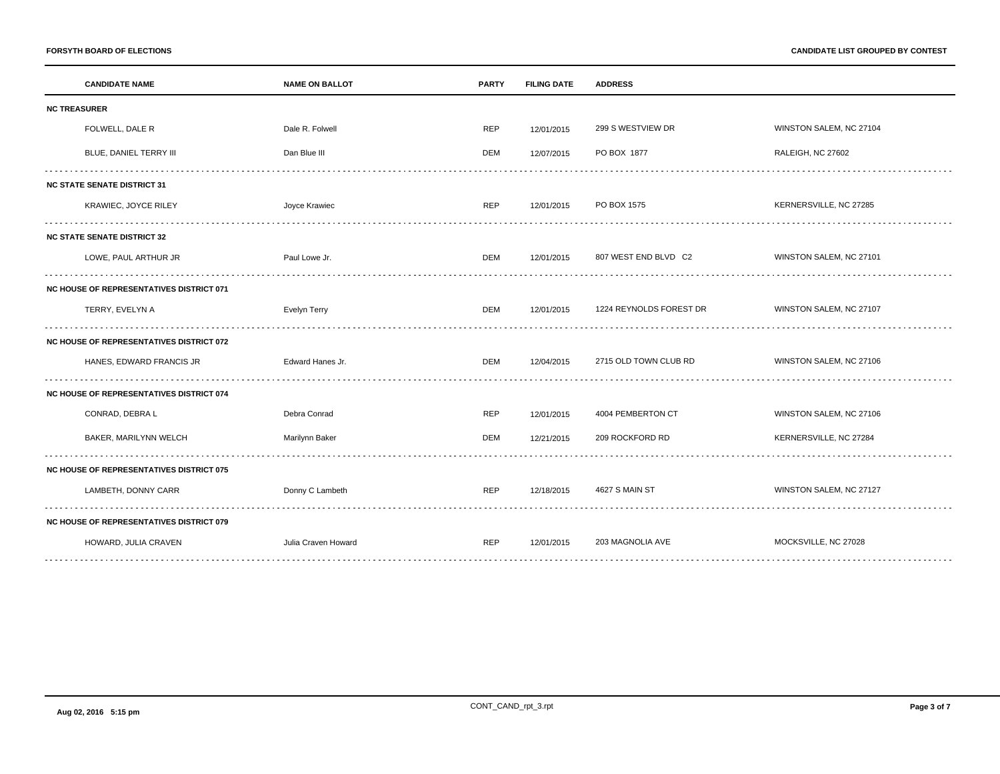**FORSYTH BOARD OF ELECTIONS CANDIDATE LIST GROUPED BY CONTEST**

| <b>CANDIDATE NAME</b>                           | <b>NAME ON BALLOT</b> | <b>PARTY</b> | <b>FILING DATE</b> | <b>ADDRESS</b>          |                         |  |  |
|-------------------------------------------------|-----------------------|--------------|--------------------|-------------------------|-------------------------|--|--|
| <b>NC TREASURER</b>                             |                       |              |                    |                         |                         |  |  |
| FOLWELL, DALE R                                 | Dale R. Folwell       | <b>REP</b>   | 12/01/2015         | 299 S WESTVIEW DR       | WINSTON SALEM, NC 27104 |  |  |
| BLUE, DANIEL TERRY III                          | Dan Blue III          | DEM          | 12/07/2015         | PO BOX 1877             | RALEIGH, NC 27602       |  |  |
| <b>NC STATE SENATE DISTRICT 31</b>              |                       |              |                    |                         |                         |  |  |
| KRAWIEC, JOYCE RILEY                            | Joyce Krawiec         | <b>REP</b>   | 12/01/2015         | PO BOX 1575             | KERNERSVILLE, NC 27285  |  |  |
| <b>NC STATE SENATE DISTRICT 32</b>              |                       |              |                    |                         |                         |  |  |
| LOWE, PAUL ARTHUR JR                            | Paul Lowe Jr.         | DEM          | 12/01/2015         | 807 WEST END BLVD C2    | WINSTON SALEM, NC 27101 |  |  |
| <b>NC HOUSE OF REPRESENTATIVES DISTRICT 071</b> |                       |              |                    |                         |                         |  |  |
| TERRY, EVELYN A                                 | Evelyn Terry          | DEM          | 12/01/2015         | 1224 REYNOLDS FOREST DR | WINSTON SALEM, NC 27107 |  |  |
| <b>NC HOUSE OF REPRESENTATIVES DISTRICT 072</b> |                       |              |                    |                         |                         |  |  |
| HANES, EDWARD FRANCIS JR                        | Edward Hanes Jr.      | DEM          | 12/04/2015         | 2715 OLD TOWN CLUB RD   | WINSTON SALEM, NC 27106 |  |  |
| <b>NC HOUSE OF REPRESENTATIVES DISTRICT 074</b> |                       |              |                    |                         |                         |  |  |
| CONRAD, DEBRA L                                 | Debra Conrad          | <b>REP</b>   | 12/01/2015         | 4004 PEMBERTON CT       | WINSTON SALEM, NC 27106 |  |  |
| BAKER, MARILYNN WELCH                           | Marilynn Baker        | <b>DEM</b>   | 12/21/2015         | 209 ROCKFORD RD         | KERNERSVILLE, NC 27284  |  |  |
| <b>NC HOUSE OF REPRESENTATIVES DISTRICT 075</b> |                       |              |                    |                         |                         |  |  |
| LAMBETH, DONNY CARR                             | Donny C Lambeth       | <b>REP</b>   | 12/18/2015         | 4627 S MAIN ST          | WINSTON SALEM, NC 27127 |  |  |
| <b>NC HOUSE OF REPRESENTATIVES DISTRICT 079</b> |                       |              |                    |                         |                         |  |  |
| HOWARD, JULIA CRAVEN                            | Julia Craven Howard   | <b>REP</b>   | 12/01/2015         | 203 MAGNOLIA AVE        | MOCKSVILLE, NC 27028    |  |  |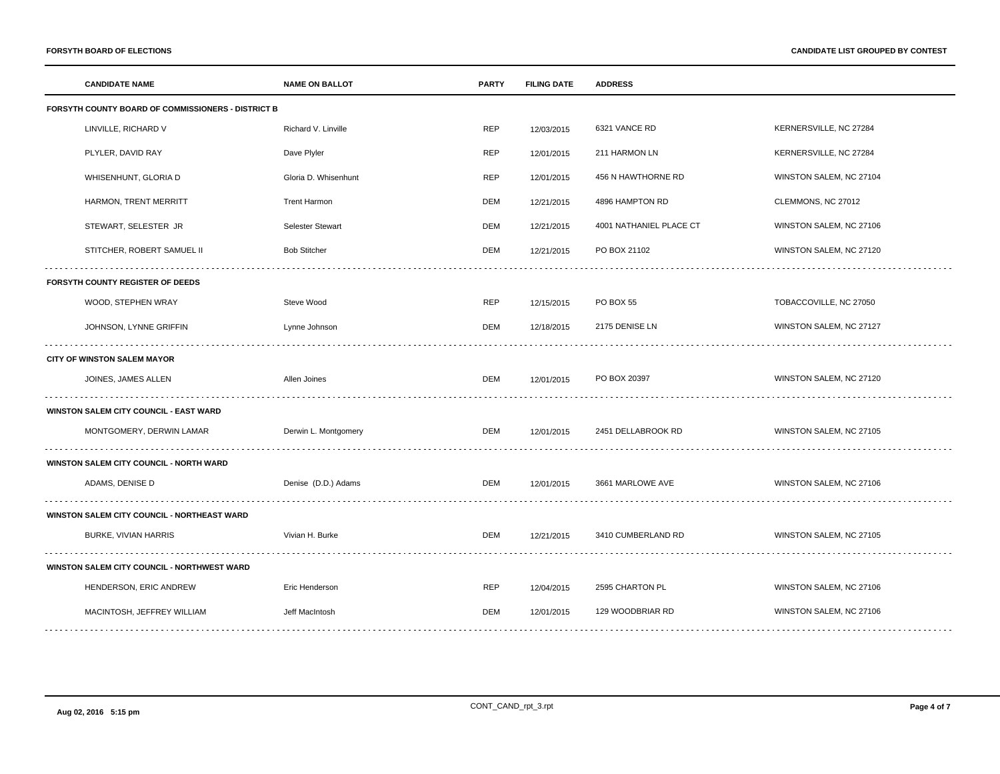| <b>CANDIDATE NAME</b>                              | <b>NAME ON BALLOT</b> | <b>PARTY</b> | <b>FILING DATE</b> | <b>ADDRESS</b>          |                         |  |  |
|----------------------------------------------------|-----------------------|--------------|--------------------|-------------------------|-------------------------|--|--|
| FORSYTH COUNTY BOARD OF COMMISSIONERS - DISTRICT B |                       |              |                    |                         |                         |  |  |
| LINVILLE, RICHARD V                                | Richard V. Linville   | <b>REP</b>   | 12/03/2015         | 6321 VANCE RD           | KERNERSVILLE, NC 27284  |  |  |
| PLYLER, DAVID RAY                                  | Dave Plyler           | REP          | 12/01/2015         | 211 HARMON LN           | KERNERSVILLE, NC 27284  |  |  |
| WHISENHUNT, GLORIA D                               | Gloria D. Whisenhunt  | <b>REP</b>   | 12/01/2015         | 456 N HAWTHORNE RD      | WINSTON SALEM, NC 27104 |  |  |
| HARMON, TRENT MERRITT                              | <b>Trent Harmon</b>   | DEM          | 12/21/2015         | 4896 HAMPTON RD         | CLEMMONS, NC 27012      |  |  |
| STEWART, SELESTER JR                               | Selester Stewart      | DEM          | 12/21/2015         | 4001 NATHANIEL PLACE CT | WINSTON SALEM, NC 27106 |  |  |
| STITCHER, ROBERT SAMUEL II                         | <b>Bob Stitcher</b>   | <b>DEM</b>   | 12/21/2015         | PO BOX 21102            | WINSTON SALEM, NC 27120 |  |  |
| FORSYTH COUNTY REGISTER OF DEEDS                   |                       |              |                    |                         |                         |  |  |
| WOOD, STEPHEN WRAY                                 | Steve Wood            | <b>REP</b>   | 12/15/2015         | <b>PO BOX 55</b>        | TOBACCOVILLE, NC 27050  |  |  |
| JOHNSON, LYNNE GRIFFIN                             | Lynne Johnson         | DEM          | 12/18/2015         | 2175 DENISE LN          | WINSTON SALEM, NC 27127 |  |  |
| <b>CITY OF WINSTON SALEM MAYOR</b>                 |                       |              |                    |                         |                         |  |  |
| JOINES, JAMES ALLEN                                | Allen Joines          | DEM          | 12/01/2015         | PO BOX 20397            | WINSTON SALEM, NC 27120 |  |  |
| <b>WINSTON SALEM CITY COUNCIL - EAST WARD</b>      |                       |              |                    |                         |                         |  |  |
| MONTGOMERY, DERWIN LAMAR                           | Derwin L. Montgomery  | DEM          | 12/01/2015         | 2451 DELLABROOK RD      | WINSTON SALEM, NC 27105 |  |  |
| WINSTON SALEM CITY COUNCIL - NORTH WARD            |                       |              |                    |                         |                         |  |  |
| ADAMS, DENISE D                                    | Denise (D.D.) Adams   | DEM          | 12/01/2015         | 3661 MARLOWE AVE        | WINSTON SALEM, NC 27106 |  |  |
| WINSTON SALEM CITY COUNCIL - NORTHEAST WARD        |                       |              |                    |                         |                         |  |  |
| <b>BURKE, VIVIAN HARRIS</b>                        | Vivian H. Burke       | <b>DEM</b>   | 12/21/2015         | 3410 CUMBERLAND RD      | WINSTON SALEM, NC 27105 |  |  |
| WINSTON SALEM CITY COUNCIL - NORTHWEST WARD        |                       |              |                    |                         |                         |  |  |
| HENDERSON, ERIC ANDREW                             | Eric Henderson        | <b>REP</b>   | 12/04/2015         | 2595 CHARTON PL         | WINSTON SALEM, NC 27106 |  |  |
| MACINTOSH, JEFFREY WILLIAM                         | Jeff MacIntosh        | DEM          | 12/01/2015         | 129 WOODBRIAR RD        | WINSTON SALEM, NC 27106 |  |  |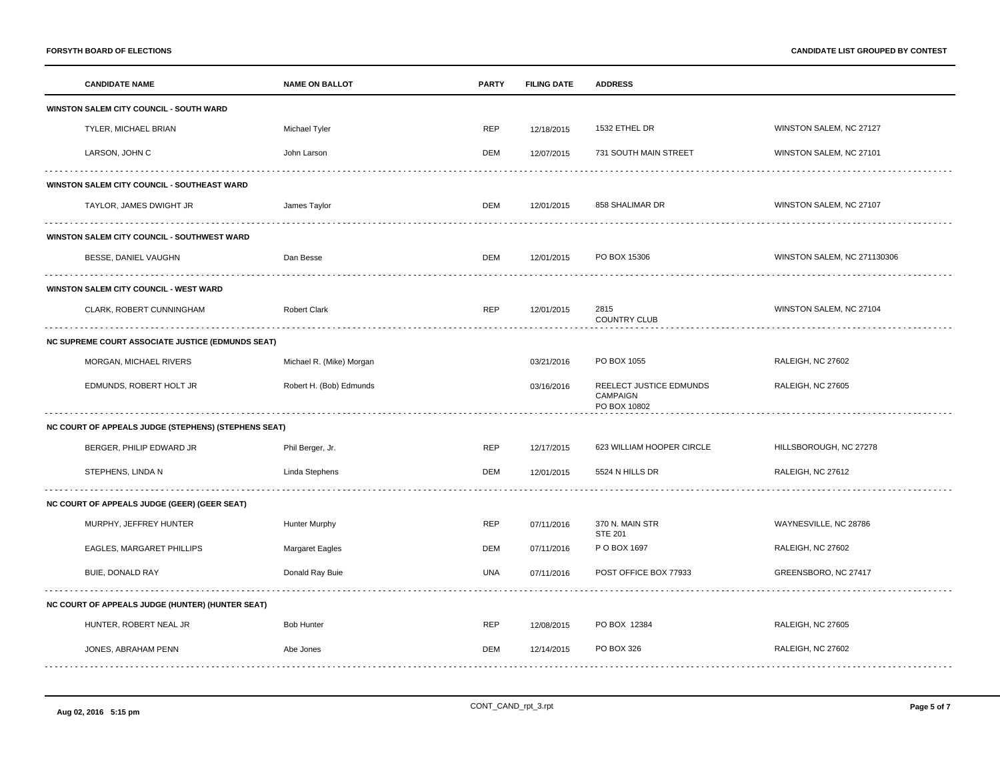|                                                          | <b>CANDIDATE NAME</b>                                | <b>NAME ON BALLOT</b>    | <b>PARTY</b> | <b>FILING DATE</b> | <b>ADDRESS</b>                                      |                             |  |  |
|----------------------------------------------------------|------------------------------------------------------|--------------------------|--------------|--------------------|-----------------------------------------------------|-----------------------------|--|--|
|                                                          | WINSTON SALEM CITY COUNCIL - SOUTH WARD              |                          |              |                    |                                                     |                             |  |  |
|                                                          | TYLER, MICHAEL BRIAN                                 | Michael Tyler            | <b>REP</b>   | 12/18/2015         | 1532 ETHEL DR                                       | WINSTON SALEM, NC 27127     |  |  |
|                                                          | LARSON, JOHN C                                       | John Larson              | DEM          | 12/07/2015         | 731 SOUTH MAIN STREET                               | WINSTON SALEM, NC 27101     |  |  |
| WINSTON SALEM CITY COUNCIL - SOUTHEAST WARD              |                                                      |                          |              |                    |                                                     |                             |  |  |
|                                                          | TAYLOR, JAMES DWIGHT JR                              | James Taylor             | <b>DEM</b>   | 12/01/2015         | 858 SHALIMAR DR                                     | WINSTON SALEM, NC 27107     |  |  |
|                                                          | WINSTON SALEM CITY COUNCIL - SOUTHWEST WARD          |                          |              |                    |                                                     |                             |  |  |
|                                                          | BESSE, DANIEL VAUGHN                                 | Dan Besse                | DEM          | 12/01/2015         | PO BOX 15306                                        | WINSTON SALEM, NC 271130306 |  |  |
|                                                          | WINSTON SALEM CITY COUNCIL - WEST WARD               |                          |              |                    |                                                     |                             |  |  |
|                                                          | CLARK, ROBERT CUNNINGHAM                             | <b>Robert Clark</b>      | <b>REP</b>   | 12/01/2015         | 2815<br><b>COUNTRY CLUB</b>                         | WINSTON SALEM, NC 27104     |  |  |
| <b>NC SUPREME COURT ASSOCIATE JUSTICE (EDMUNDS SEAT)</b> |                                                      |                          |              |                    |                                                     |                             |  |  |
|                                                          | MORGAN, MICHAEL RIVERS                               | Michael R. (Mike) Morgan |              | 03/21/2016         | PO BOX 1055                                         | RALEIGH, NC 27602           |  |  |
|                                                          | EDMUNDS, ROBERT HOLT JR                              | Robert H. (Bob) Edmunds  |              | 03/16/2016         | REELECT JUSTICE EDMUNDS<br>CAMPAIGN<br>PO BOX 10802 | RALEIGH, NC 27605           |  |  |
|                                                          | NC COURT OF APPEALS JUDGE (STEPHENS) (STEPHENS SEAT) |                          |              |                    |                                                     |                             |  |  |
|                                                          | BERGER, PHILIP EDWARD JR                             | Phil Berger, Jr.         | REP          | 12/17/2015         | 623 WILLIAM HOOPER CIRCLE                           | HILLSBOROUGH, NC 27278      |  |  |
|                                                          | STEPHENS, LINDA N                                    | Linda Stephens           | DEM          | 12/01/2015         | 5524 N HILLS DR                                     | RALEIGH, NC 27612           |  |  |
|                                                          | NC COURT OF APPEALS JUDGE (GEER) (GEER SEAT)         |                          |              |                    |                                                     |                             |  |  |
|                                                          | MURPHY, JEFFREY HUNTER                               | <b>Hunter Murphy</b>     | REP          | 07/11/2016         | 370 N. MAIN STR<br><b>STE 201</b>                   | WAYNESVILLE, NC 28786       |  |  |
|                                                          | EAGLES, MARGARET PHILLIPS                            | <b>Margaret Eagles</b>   | DEM          | 07/11/2016         | P O BOX 1697                                        | RALEIGH, NC 27602           |  |  |
|                                                          | BUIE, DONALD RAY                                     | Donald Ray Buie          | <b>UNA</b>   | 07/11/2016         | POST OFFICE BOX 77933                               | GREENSBORO, NC 27417        |  |  |
|                                                          | NC COURT OF APPEALS JUDGE (HUNTER) (HUNTER SEAT)     |                          |              |                    |                                                     |                             |  |  |
|                                                          | HUNTER, ROBERT NEAL JR                               | <b>Bob Hunter</b>        | <b>REP</b>   | 12/08/2015         | PO BOX 12384                                        | <b>RALEIGH, NC 27605</b>    |  |  |
|                                                          | JONES, ABRAHAM PENN                                  | Abe Jones                | DEM          | 12/14/2015         | PO BOX 326                                          | RALEIGH, NC 27602           |  |  |
|                                                          |                                                      |                          |              |                    |                                                     |                             |  |  |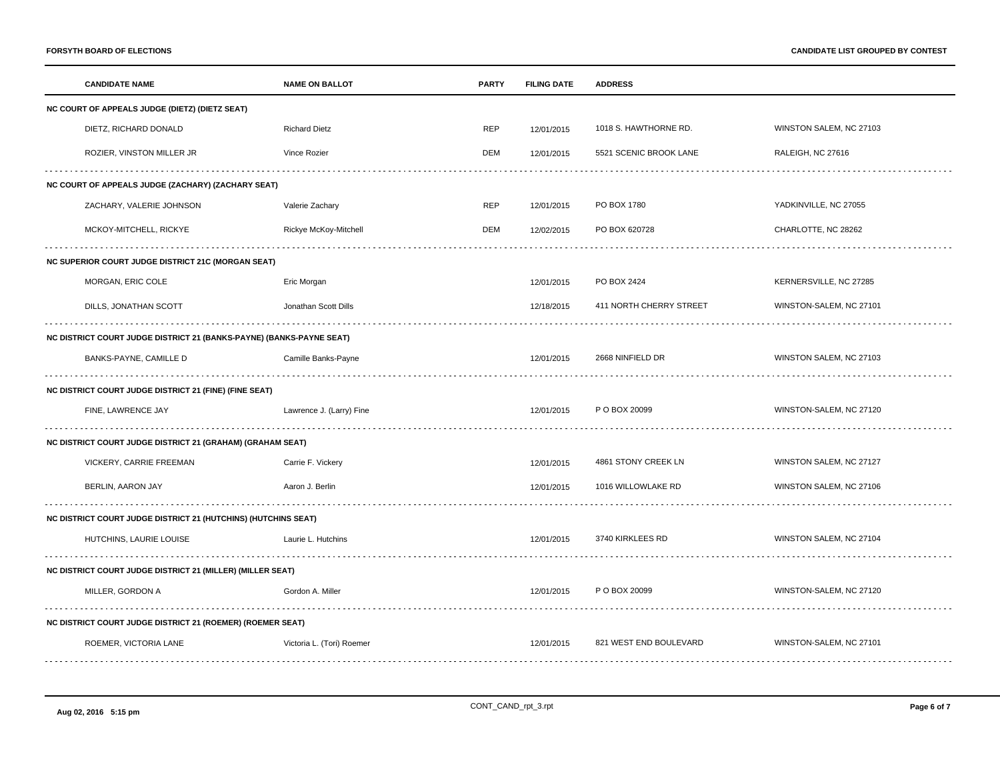|                                                                   | <b>CANDIDATE NAME</b>                                                | <b>NAME ON BALLOT</b>     | <b>PARTY</b> | <b>FILING DATE</b> | <b>ADDRESS</b>          |                         |  |  |
|-------------------------------------------------------------------|----------------------------------------------------------------------|---------------------------|--------------|--------------------|-------------------------|-------------------------|--|--|
|                                                                   | NC COURT OF APPEALS JUDGE (DIETZ) (DIETZ SEAT)                       |                           |              |                    |                         |                         |  |  |
|                                                                   | DIETZ, RICHARD DONALD                                                | <b>Richard Dietz</b>      | <b>REP</b>   | 12/01/2015         | 1018 S. HAWTHORNE RD.   | WINSTON SALEM, NC 27103 |  |  |
|                                                                   | ROZIER, VINSTON MILLER JR                                            | Vince Rozier              | DEM          | 12/01/2015         | 5521 SCENIC BROOK LANE  | RALEIGH, NC 27616       |  |  |
| NC COURT OF APPEALS JUDGE (ZACHARY) (ZACHARY SEAT)                |                                                                      |                           |              |                    |                         |                         |  |  |
|                                                                   | ZACHARY, VALERIE JOHNSON                                             | Valerie Zachary           | <b>REP</b>   | 12/01/2015         | PO BOX 1780             | YADKINVILLE, NC 27055   |  |  |
|                                                                   | MCKOY-MITCHELL, RICKYE                                               | Rickye McKoy-Mitchell     | DEM          | 12/02/2015         | PO BOX 620728           | CHARLOTTE, NC 28262     |  |  |
|                                                                   | <b>NC SUPERIOR COURT JUDGE DISTRICT 21C (MORGAN SEAT)</b>            |                           |              |                    |                         |                         |  |  |
|                                                                   | MORGAN, ERIC COLE                                                    | Eric Morgan               |              | 12/01/2015         | PO BOX 2424             | KERNERSVILLE, NC 27285  |  |  |
|                                                                   | DILLS, JONATHAN SCOTT                                                | Jonathan Scott Dills      |              | 12/18/2015         | 411 NORTH CHERRY STREET | WINSTON-SALEM, NC 27101 |  |  |
|                                                                   | NC DISTRICT COURT JUDGE DISTRICT 21 (BANKS-PAYNE) (BANKS-PAYNE SEAT) |                           |              |                    |                         |                         |  |  |
|                                                                   | BANKS-PAYNE, CAMILLE D                                               | Camille Banks-Payne       |              | 12/01/2015         | 2668 NINFIELD DR        | WINSTON SALEM, NC 27103 |  |  |
|                                                                   | NC DISTRICT COURT JUDGE DISTRICT 21 (FINE) (FINE SEAT)               |                           |              |                    |                         |                         |  |  |
|                                                                   | FINE, LAWRENCE JAY                                                   | Lawrence J. (Larry) Fine  |              | 12/01/2015         | P O BOX 20099           | WINSTON-SALEM, NC 27120 |  |  |
|                                                                   | <b>NC DISTRICT COURT JUDGE DISTRICT 21 (GRAHAM) (GRAHAM SEAT)</b>    |                           |              |                    |                         |                         |  |  |
|                                                                   | VICKERY, CARRIE FREEMAN                                              | Carrie F. Vickery         |              | 12/01/2015         | 4861 STONY CREEK LN     | WINSTON SALEM, NC 27127 |  |  |
|                                                                   | BERLIN, AARON JAY                                                    | Aaron J. Berlin           |              | 12/01/2015         | 1016 WILLOWLAKE RD      | WINSTON SALEM, NC 27106 |  |  |
|                                                                   | NC DISTRICT COURT JUDGE DISTRICT 21 (HUTCHINS) (HUTCHINS SEAT)       |                           |              |                    |                         |                         |  |  |
|                                                                   | HUTCHINS, LAURIE LOUISE                                              | Laurie L. Hutchins        |              | 12/01/2015         | 3740 KIRKLEES RD        | WINSTON SALEM, NC 27104 |  |  |
| <b>NC DISTRICT COURT JUDGE DISTRICT 21 (MILLER) (MILLER SEAT)</b> |                                                                      |                           |              |                    |                         |                         |  |  |
|                                                                   | MILLER, GORDON A                                                     | Gordon A. Miller          |              | 12/01/2015         | P O BOX 20099           | WINSTON-SALEM, NC 27120 |  |  |
|                                                                   | <b>NC DISTRICT COURT JUDGE DISTRICT 21 (ROEMER) (ROEMER SEAT)</b>    |                           |              |                    |                         |                         |  |  |
|                                                                   | ROEMER, VICTORIA LANE                                                | Victoria L. (Tori) Roemer |              | 12/01/2015         | 821 WEST END BOULEVARD  | WINSTON-SALEM, NC 27101 |  |  |
|                                                                   |                                                                      |                           |              |                    |                         |                         |  |  |